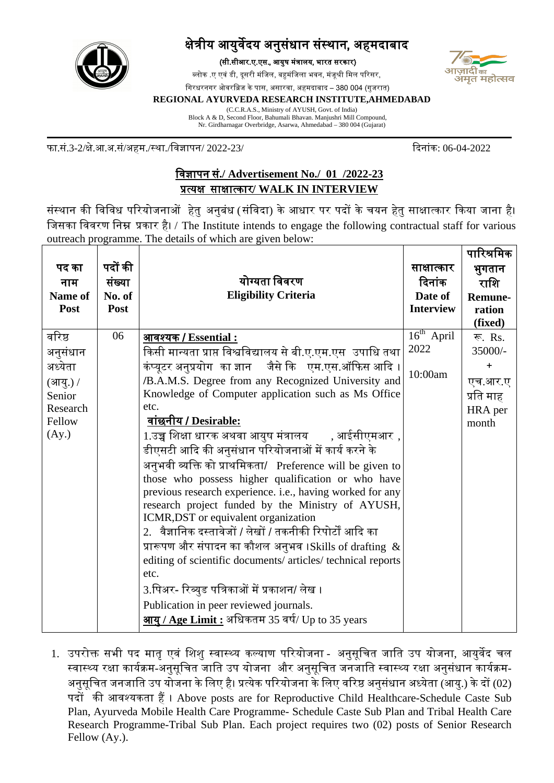

## क्षेत्रीय आयुर्वेदय अनुसंधान संस्थान, अहमदाबाद

(सी.सीआर.ए.एस., आयुष मं�ालय, भारत सरकार)

ब्लोक .ए एवं डी, दूसरी मंजिल, बहुमंजिला भवन, मंजूश्री मिल परिसर,



िगरधरनगर ओवरि�ज केपास, असारवा, अहमदाबाद – 380 004 (गुजरात)

## **REGIONAL AYURVEDA RESEARCH INSTITUTE,AHMEDABAD**

(C.C.R.A.S., Ministry of AYUSH, Govt. of India) Block A & D, Second Floor, Bahumali Bhavan. Manjushri Mill Compound, Nr. Girdharnagar Overbridge, Asarwa, Ahmedabad – 380 004 (Gujarat)

फा.सं.3-2/क्षे.आ.अ.सं/अहम./स्था./िवज्ञापन/ 2022-23/ �दनांक: 06-04-2022

## िवज्ञापन सं**./ Advertisement No./ 01 /2022-23** �त्यक्षसाक्षात्कार**/ WALK IN INTERVIEW**

संस्थान की विविध परियोजनाओं हेतु अनुबंध (संविदा) के आधार पर पदों के चयन हेतु साक्षात्कार किया जाना है। िजसका िववरण िन� �कार है। / The Institute intends to engage the following contractual staff for various outreach programme. The details of which are given below:

|          |         |                                                                                                    |                  | पारिश्रमिक     |
|----------|---------|----------------------------------------------------------------------------------------------------|------------------|----------------|
| पद का    | पदों की |                                                                                                    | साक्षात्कार      | भुगतान         |
| नाम      | संख्या  | योग्यता विवरण                                                                                      | दिनांक           | राशि           |
| Name of  | No. of  | <b>Eligibility Criteria</b>                                                                        | Date of          | <b>Remune-</b> |
| Post     | Post    |                                                                                                    | <b>Interview</b> | ration         |
|          |         |                                                                                                    |                  | (fixed)        |
| वरिष्ठ   | 06      | आवश्यक / Essential:                                                                                | $16th$ April     | रू. Rs.        |
| अनुसंधान |         | किसी मान्यता प्राप्त विश्वविद्यालय से बी.ए.एम.एस  उपाधि तथा                                        | 2022             | 35000/-        |
| अध्येता  |         | कंप्यूटर अनुप्रयोग  का ज्ञान     जैसे कि    एम.एस.ऑफिस आदि ।                                       | 10:00am          | ÷.             |
| (आयु.) / |         | /B.A.M.S. Degree from any Recognized University and                                                |                  | एच.आर.ए        |
| Senior   |         | Knowledge of Computer application such as Ms Office                                                |                  | प्रति माह      |
| Research |         | etc.                                                                                               |                  | HRA per        |
| Fellow   |         | <u> वांछनीय / Desirable:</u>                                                                       |                  | month          |
| (Ay.)    |         | 1.उच्च शिक्षा धारक अथवा आयुष मंत्रालय       , आईसीएमआर  ,                                          |                  |                |
|          |         | डीएसटी आदि की अनुसंधान परियोजनाओं में कार्य करने के                                                |                  |                |
|          |         | अनुभवी व्यक्ति को प्राथमिकता/ Preference will be given to                                          |                  |                |
|          |         | those who possess higher qualification or who have                                                 |                  |                |
|          |         | previous research experience. <i>i.e.</i> , having worked for any                                  |                  |                |
|          |         | research project funded by the Ministry of AYUSH,                                                  |                  |                |
|          |         | ICMR, DST or equivalent organization<br>2.  वैज्ञानिक दस्तावेजों / लेखों / तकनीकी रिपोर्टों आदि का |                  |                |
|          |         |                                                                                                    |                  |                |
|          |         | प्रारूपण और संपादन का कौशल अनुभव ।Skills of drafting $\,\&\,$                                      |                  |                |
|          |         | editing of scientific documents/ articles/ technical reports                                       |                  |                |
|          |         | etc.                                                                                               |                  |                |
|          |         | 3.पिअर- रिव्युड पत्रिकाओं में प्रकाशन/ लेख ।                                                       |                  |                |
|          |         | Publication in peer reviewed journals.                                                             |                  |                |
|          |         | <u>आयु / Age Limit :</u> अधिकतम 35 वर्ष/ Up to 35 years                                            |                  |                |

1. उपरोक्त सभी पद मातृ एवं शिशु स्वास्थ्य कल्याण परियोजना - अनुसूचित जाति उप योजना, आयुर्वेद चल स्वास्थ्य रक्षा कार्यक्रम-अनुसूचित जाति उप योजना और अनुसूचित जनजाति स्वास्थ्य रक्षा अनुसंधान कार्यक्रम-अनुसूचित जनजाति उप योजना के लिए है। प्रत्येक परियोजना के लिए वरिष्ठ अनुसंधान अध्येता (आयु.) के दों (02) पदों की आवश्यकता हैं। Above posts are for Reproductive Child Healthcare-Schedule Caste Sub Plan, Ayurveda Mobile Health Care Programme- Schedule Caste Sub Plan and Tribal Health Care Research Programme-Tribal Sub Plan. Each project requires two (02) posts of Senior Research Fellow (Ay.).